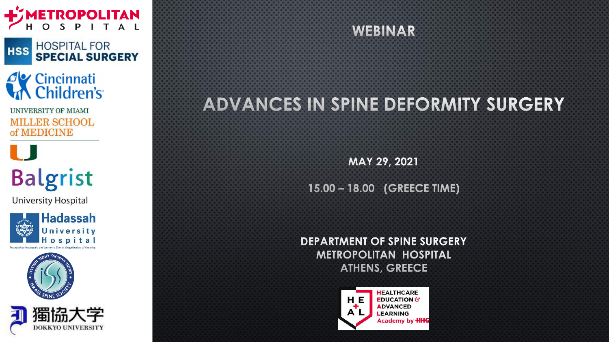

HOSPITAL FOR<br>**SPECIAL SURGERY HSS** 

### *<u>Av</u>* Cincinnati Children's

UNIVERSITY OF MIAMI **MILLER SCHOOL** of MEDICINE

# **Balgrist**

**University Hospital** 







## **WEBINAR**

### **ADVANCES IN SPINE DEFORMITY SURGERY**

**MAY 29, 2021** 

**15.00 – 18.00 (GREECE TIME)** 

**DEPARTMENT OF SPINE SURGERY METROPOLITAN HOSPITAL ATHENS, GREECE** 

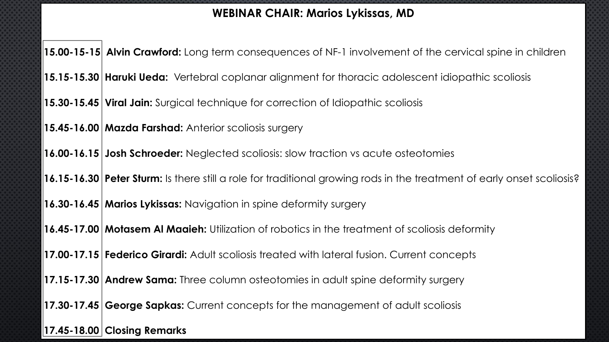#### **WEBINAR CHAIR: Marios Lykissas, MD**

**15.00-15-15 Alvin Crawford:** Long term consequences of NF-1 involvement of the cervical spine in children

**15.15-15.30 Haruki Ueda:** Vertebral coplanar alignment for thoracic adolescent idiopathic scoliosis

**15.30-15.45 Viral Jain:** Surgical technique for correction of Idiopathic scoliosis

**15.45-16.00 Mazda Farshad:** Anterior scoliosis surgery

**16.00-16.15 Josh Schroeder:** Neglected scoliosis: slow traction vs acute osteotomies

**16.15-16.30 Peter Sturm:** Is there still a role for traditional growing rods in the treatment of early onset scoliosis?

**16.30-16.45 Marios Lykissas:** Navigation in spine deformity surgery

**16.45-17.00 Motasem Al Maaieh:** Utilization of robotics in the treatment of scoliosis deformity

**17.00-17.15 Federico Girardi:** Adult scoliosis treated with lateral fusion. Current concepts

**17.15-17.30 Andrew Sama:** Three column osteotomies in adult spine deformity surgery

**17.30-17.45 George Sapkas:** Current concepts for the management of adult scoliosis

**17.45-18.00 Closing Remarks**